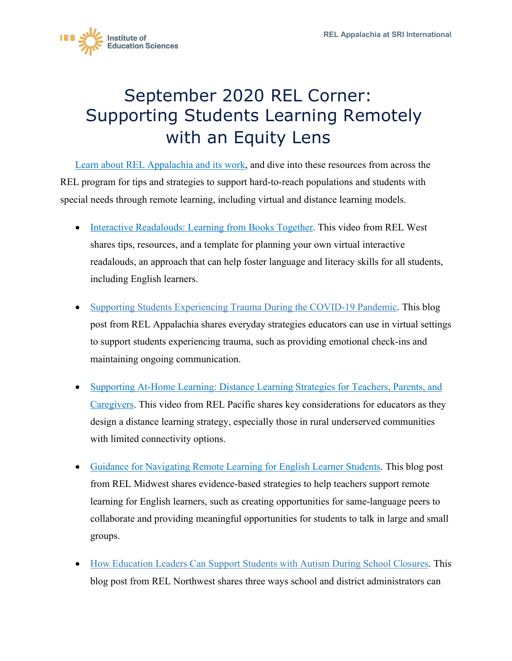

## September 2020 REL Corner: Supporting Students Learning Remotely with an Equity Lens

[Learn about REL Appalachia and its work,](https://ies.ed.gov/ncee/edlabs/regions/appalachia/) and dive into these resources from across the REL program for tips and strategies to support hard-to-reach populations and students with special needs through remote learning, including virtual and distance learning models.

- [Interactive Readalouds: Learning from Books Together.](https://ies.ed.gov/ncee/edlabs/regions/west/Publications/Details/281) This video from REL West shares tips, resources, and a template for planning your own virtual interactive readalouds, an approach that can help foster language and literacy skills for all students, including English learners.
- [Supporting Students Experiencing Trauma During the COVID-19 Pandemic. T](https://ies.ed.gov/ncee/edlabs/regions/appalachia/blogs/blog30_supporting-students-experiencing-trauma-during-COVID-19-pandemic.asp)his blog post from REL Appalachia shares everyday strategies educators can use in virtual settings to support students experiencing trauma, such as providing emotional check-ins and maintaining ongoing communication.
- [Supporting At-Home Learning: Distance Learning Strategies for Teachers, Parents, and](https://www.youtube.com/watch?v=rldFlP7U4Qc)  [Caregivers.](https://www.youtube.com/watch?v=rldFlP7U4Qc) This video from REL Pacific shares key considerations for educators as they design a distance learning strategy, especially those in rural underserved communities with limited connectivity options.
- [Guidance for Navigating Remote Learning for English Learner Students.](https://ies.ed.gov/ncee/edlabs/regions/midwest/blogs/english-learner-remote-learning.aspx) This blog post from REL Midwest shares evidence-based strategies to help teachers support remote learning for English learners, such as creating opportunities for same-language peers to collaborate and providing meaningful opportunities for students to talk in large and small groups.
- [How Education Leaders Can Support Students with Autism During School Closures.](https://ies.ed.gov/ncee/edlabs/regions/northwest/blog/support-students-with-autism.asp) This blog post from REL Northwest shares three ways school and district administrators can